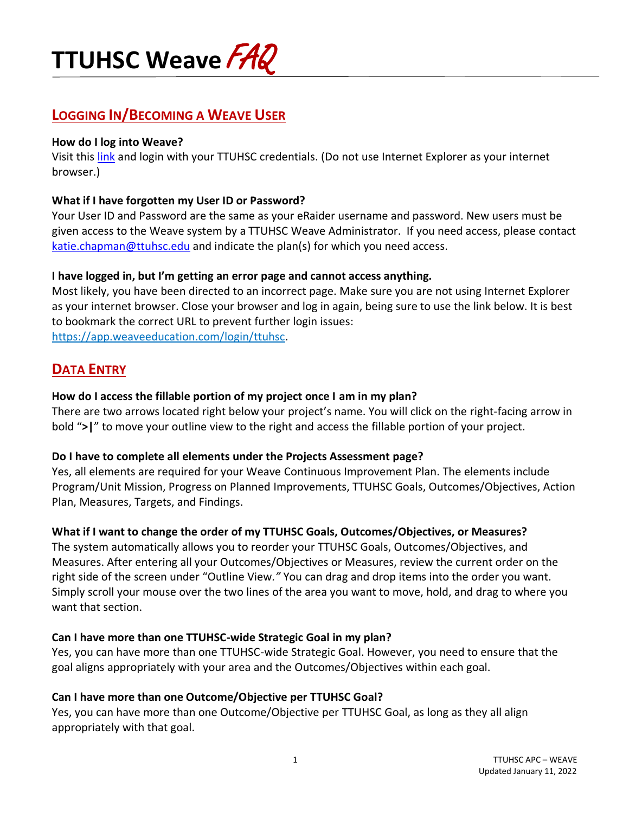

# **LOGGING IN/BECOMING A WEAVE USER**

#### **How do I log into Weave?**

Visit this [link](https://app.weaveeducation.com/login/ttuhsc) and login with your TTUHSC credentials. (Do not use Internet Explorer as your internet browser.)

### **What if I have forgotten my User ID or Password?**

Your User ID and Password are the same as your eRaider username and password. New users must be given access to the Weave system by a TTUHSC Weave Administrator. If you need access, please contact [katie.chapman@ttuhsc.edu](mailto:leslie.collins@ttuhsc.edu) and indicate the plan(s) for which you need access.

#### **I have logged in, but I'm getting an error page and cannot access anything.**

Most likely, you have been directed to an incorrect page. Make sure you are not using Internet Explorer as your internet browser. Close your browser and log in again, being sure to use the link below. It is best to bookmark the correct URL to prevent further login issues: [https://app.weaveeducation.com/login/ttuhsc.](https://app.weaveeducation.com/login/ttuhsc)

# **DATA ENTRY**

#### **How do I access the fillable portion of my project once I am in my plan?**

There are two arrows located right below your project's name. You will click on the right-facing arrow in bold "**>|**" to move your outline view to the right and access the fillable portion of your project.

#### **Do I have to complete all elements under the Projects Assessment page?**

Yes, all elements are required for your Weave Continuous Improvement Plan. The elements include Program/Unit Mission, Progress on Planned Improvements, TTUHSC Goals, Outcomes/Objectives, Action Plan, Measures, Targets, and Findings.

# **What if I want to change the order of my TTUHSC Goals, Outcomes/Objectives, or Measures?**

The system automatically allows you to reorder your TTUHSC Goals, Outcomes/Objectives, and Measures. After entering all your Outcomes/Objectives or Measures, review the current order on the right side of the screen under "Outline View*."* You can drag and drop items into the order you want. Simply scroll your mouse over the two lines of the area you want to move, hold, and drag to where you want that section.

# **Can I have more than one TTUHSC-wide Strategic Goal in my plan?**

Yes, you can have more than one TTUHSC-wide Strategic Goal. However, you need to ensure that the goal aligns appropriately with your area and the Outcomes/Objectives within each goal.

# **Can I have more than one Outcome/Objective per TTUHSC Goal?**

Yes, you can have more than one Outcome/Objective per TTUHSC Goal, as long as they all align appropriately with that goal.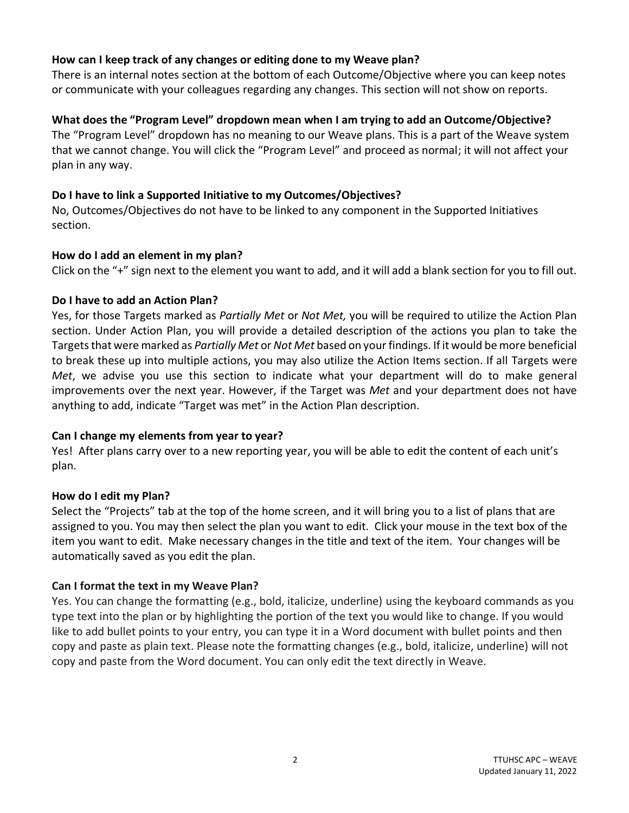#### **How can I keep track of any changes or editing done to my Weave plan?**

There is an internal notes section at the bottom of each Outcome/Objective where you can keep notes or communicate with your colleagues regarding any changes. This section will not show on reports.

# **What does the "Program Level" dropdown mean when I am trying to add an Outcome/Objective?**

The "Program Level" dropdown has no meaning to our Weave plans. This is a part of the Weave system that we cannot change. You will click the "Program Level" and proceed as normal; it will not affect your plan in any way.

#### **Do I have to link a Supported Initiative to my Outcomes/Objectives?**

No, Outcomes/Objectives do not have to be linked to any component in the Supported Initiatives section.

#### **How do I add an element in my plan?**

Click on the "+" sign next to the element you want to add, and it will add a blank section for you to fill out.

#### **Do I have to add an Action Plan?**

Yes, for those Targets marked as *Partially Met* or *Not Met,* you will be required to utilize the Action Plan section. Under Action Plan, you will provide a detailed description of the actions you plan to take the Targets that were marked as *Partially Met* or *Not Met* based on your findings. If it would be more beneficial to break these up into multiple actions, you may also utilize the Action Items section. If all Targets were *Met*, we advise you use this section to indicate what your department will do to make general improvements over the next year. However, if the Target was *Met* and your department does not have anything to add, indicate "Target was met" in the Action Plan description.

#### **Can I change my elements from year to year?**

Yes! After plans carry over to a new reporting year, you will be able to edit the content of each unit's plan.

#### **How do I edit my Plan?**

Select the "Projects" tab at the top of the home screen, and it will bring you to a list of plans that are assigned to you. You may then select the plan you want to edit. Click your mouse in the text box of the item you want to edit. Make necessary changes in the title and text of the item. Your changes will be automatically saved as you edit the plan.

# **Can I format the text in my Weave Plan?**

Yes. You can change the formatting (e.g., bold, italicize, underline) using the keyboard commands as you type text into the plan or by highlighting the portion of the text you would like to change. If you would like to add bullet points to your entry, you can type it in a Word document with bullet points and then copy and paste as plain text. Please note the formatting changes (e.g., bold, italicize, underline) will not copy and paste from the Word document. You can only edit the text directly in Weave.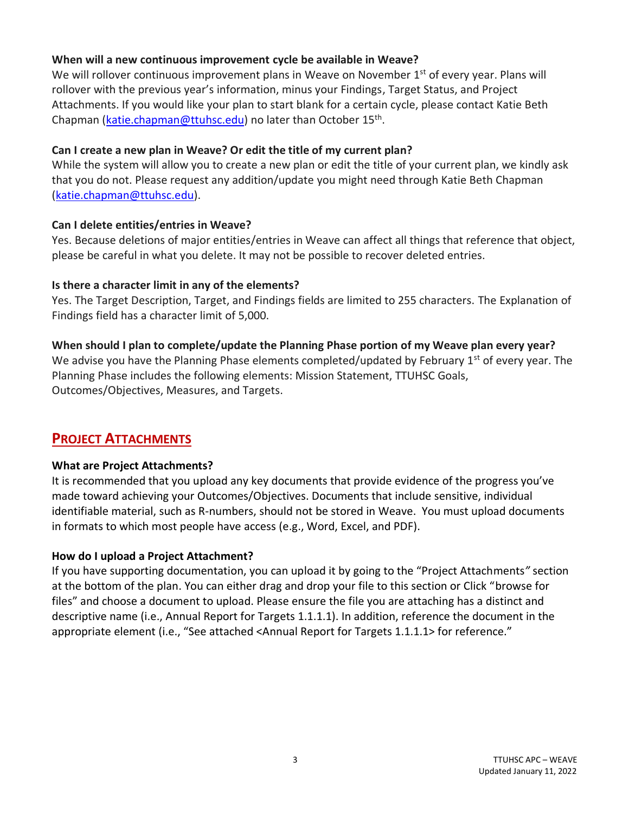### **When will a new continuous improvement cycle be available in Weave?**

We will rollover continuous improvement plans in Weave on November  $1<sup>st</sup>$  of every year. Plans will rollover with the previous year's information, minus your Findings, Target Status, and Project Attachments. If you would like your plan to start blank for a certain cycle, please contact Katie Beth Chapman [\(katie.chapman@ttuhsc.edu\)](mailto:katie.chapman@ttuhsc.edu) no later than October 15<sup>th</sup>.

### **Can I create a new plan in Weave? Or edit the title of my current plan?**

While the system will allow you to create a new plan or edit the title of your current plan, we kindly ask that you do not. Please request any addition/update you might need through Katie Beth Chapman [\(katie.chapman@ttuhsc.edu\)](mailto:katie.chapman@ttuhsc.edu).

#### **Can I delete entities/entries in Weave?**

Yes. Because deletions of major entities/entries in Weave can affect all things that reference that object, please be careful in what you delete. It may not be possible to recover deleted entries.

#### **Is there a character limit in any of the elements?**

Yes. The Target Description, Target, and Findings fields are limited to 255 characters. The Explanation of Findings field has a character limit of 5,000.

#### **When should I plan to complete/update the Planning Phase portion of my Weave plan every year?**

We advise you have the Planning Phase elements completed/updated by February 1<sup>st</sup> of every year. The Planning Phase includes the following elements: Mission Statement, TTUHSC Goals, Outcomes/Objectives, Measures, and Targets.

# **PROJECT ATTACHMENTS**

# **What are Project Attachments?**

It is recommended that you upload any key documents that provide evidence of the progress you've made toward achieving your Outcomes/Objectives. Documents that include sensitive, individual identifiable material, such as R-numbers, should not be stored in Weave. You must upload documents in formats to which most people have access (e.g., Word, Excel, and PDF).

# **How do I upload a Project Attachment?**

If you have supporting documentation, you can upload it by going to the "Project Attachments*"* section at the bottom of the plan. You can either drag and drop your file to this section or Click "browse for files" and choose a document to upload. Please ensure the file you are attaching has a distinct and descriptive name (i.e., Annual Report for Targets 1.1.1.1). In addition, reference the document in the appropriate element (i.e., "See attached <Annual Report for Targets 1.1.1.1> for reference."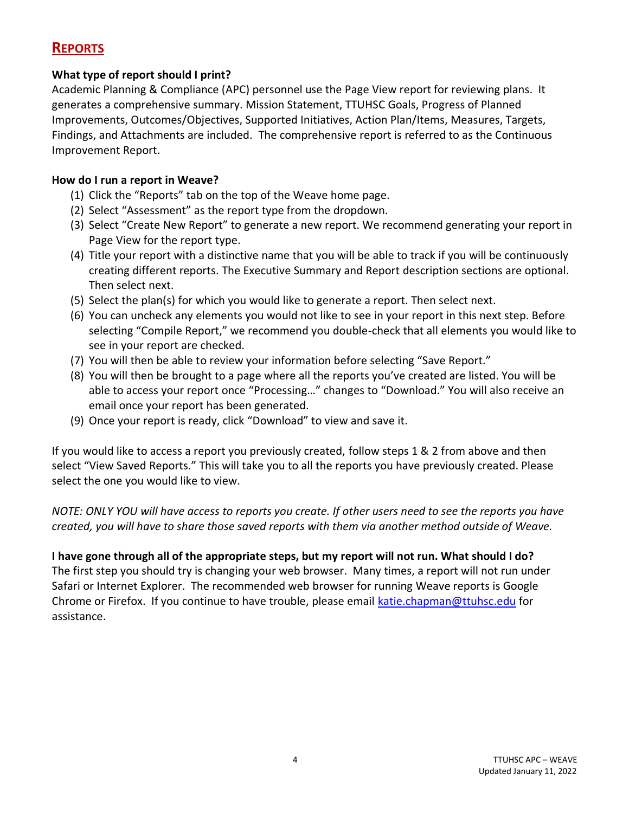# **REPORTS**

# **What type of report should I print?**

Academic Planning & Compliance (APC) personnel use the Page View report for reviewing plans. It generates a comprehensive summary. Mission Statement, TTUHSC Goals, Progress of Planned Improvements, Outcomes/Objectives, Supported Initiatives, Action Plan/Items, Measures, Targets, Findings, and Attachments are included. The comprehensive report is referred to as the Continuous Improvement Report.

# **How do I run a report in Weave?**

- (1) Click the "Reports" tab on the top of the Weave home page.
- (2) Select "Assessment" as the report type from the dropdown.
- (3) Select "Create New Report" to generate a new report. We recommend generating your report in Page View for the report type.
- (4) Title your report with a distinctive name that you will be able to track if you will be continuously creating different reports. The Executive Summary and Report description sections are optional. Then select next.
- (5) Select the plan(s) for which you would like to generate a report. Then select next.
- (6) You can uncheck any elements you would not like to see in your report in this next step. Before selecting "Compile Report," we recommend you double-check that all elements you would like to see in your report are checked.
- (7) You will then be able to review your information before selecting "Save Report."
- (8) You will then be brought to a page where all the reports you've created are listed. You will be able to access your report once "Processing…" changes to "Download." You will also receive an email once your report has been generated.
- (9) Once your report is ready, click "Download" to view and save it.

If you would like to access a report you previously created, follow steps 1 & 2 from above and then select "View Saved Reports." This will take you to all the reports you have previously created. Please select the one you would like to view.

*NOTE: ONLY YOU will have access to reports you create. If other users need to see the reports you have created, you will have to share those saved reports with them via another method outside of Weave.* 

**I have gone through all of the appropriate steps, but my report will not run. What should I do?** The first step you should try is changing your web browser. Many times, a report will not run under Safari or Internet Explorer. The recommended web browser for running Weave reports is Google Chrome or Firefox. If you continue to have trouble, please email [katie.chapman@ttuhsc.edu](mailto:katie.chapman@ttuhsc.edu) for assistance.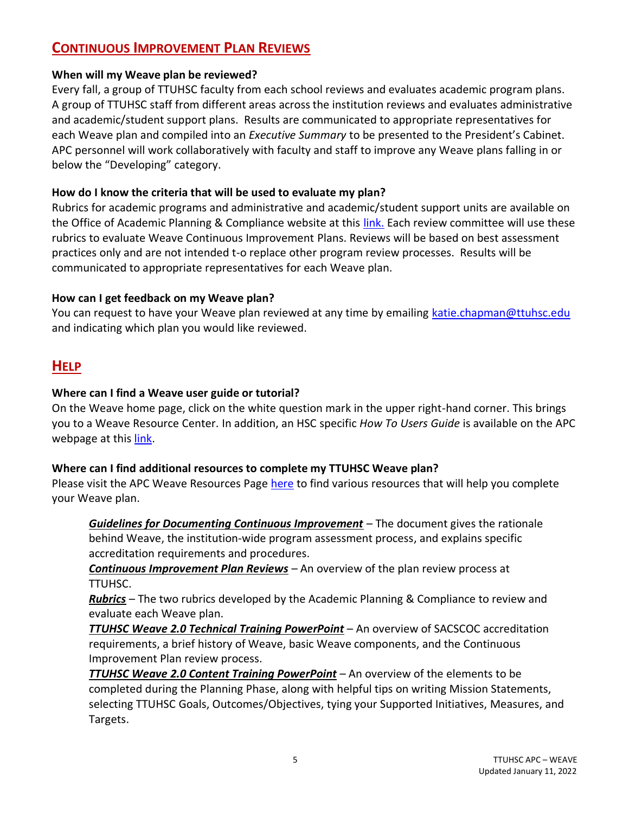# **CONTINUOUS IMPROVEMENT PLAN REVIEWS**

### **When will my Weave plan be reviewed?**

Every fall, a group of TTUHSC faculty from each school reviews and evaluates academic program plans. A group of TTUHSC staff from different areas across the institution reviews and evaluates administrative and academic/student support plans. Results are communicated to appropriate representatives for each Weave plan and compiled into an *Executive Summary* to be presented to the President's Cabinet. APC personnel will work collaboratively with faculty and staff to improve any Weave plans falling in or below the "Developing" category.

# **How do I know the criteria that will be used to evaluate my plan?**

Rubrics for academic programs and administrative and academic/student support units are available on the Office of Academic Planning & Compliance website at this [link.](https://www.ttuhsc.edu/academic-planning-compliance/weave.aspx) Each review committee will use these rubrics to evaluate Weave Continuous Improvement Plans. Reviews will be based on best assessment practices only and are not intended t-o replace other program review processes. Results will be communicated to appropriate representatives for each Weave plan.

#### **How can I get feedback on my Weave plan?**

You can request to have your Weave plan reviewed at any time by emailing [katie.chapman@ttuhsc.edu](mailto:katie.chapman@ttuhsc.edu) and indicating which plan you would like reviewed.

# **HELP**

#### **Where can I find a Weave user guide or tutorial?**

On the Weave home page, click on the white question mark in the upper right-hand corner. This brings you to a Weave Resource Center. In addition, an HSC specific *How To Users Guide* is available on the APC webpage at thi[s link.](https://www.ttuhsc.edu/academic-planning-compliance/documents/TTUHSCWeaveHowToUserGuide_4-21-21.pdf)

# **Where can I find additional resources to complete my TTUHSC Weave plan?**

Please visit the APC Weave Resources Page [here](https://www.ttuhsc.edu/academic-planning-compliance/weave.aspx) to find various resources that will help you complete your Weave plan.

*Guidelines for Documenting Continuous Improvement* – The document gives the rationale behind Weave, the institution-wide program assessment process, and explains specific accreditation requirements and procedures.

*Continuous Improvement Plan Reviews* – An overview of the plan review process at TTUHSC.

*Rubrics* – The two rubrics developed by the Academic Planning & Compliance to review and evaluate each Weave plan.

*TTUHSC Weave 2.0 Technical Training PowerPoint* – An overview of SACSCOC accreditation requirements, a brief history of Weave, basic Weave components, and the Continuous Improvement Plan review process.

*TTUHSC Weave 2.0 Content Training PowerPoint* – An overview of the elements to be completed during the Planning Phase, along with helpful tips on writing Mission Statements, selecting TTUHSC Goals, Outcomes/Objectives, tying your Supported Initiatives, Measures, and Targets.